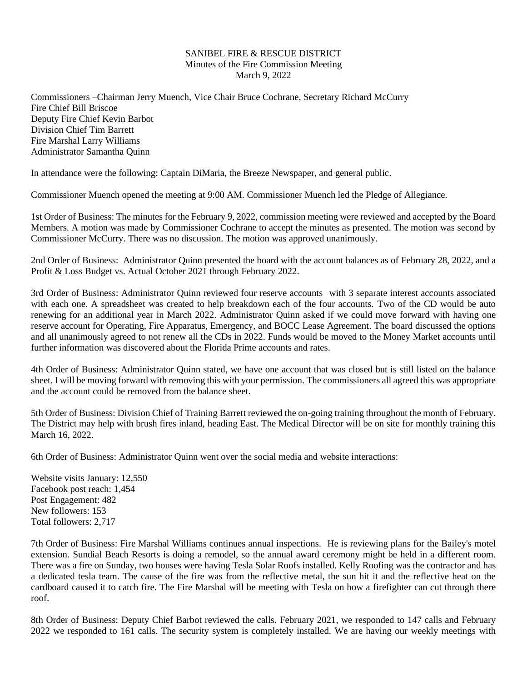## SANIBEL FIRE & RESCUE DISTRICT Minutes of the Fire Commission Meeting March 9, 2022

Commissioners –Chairman Jerry Muench, Vice Chair Bruce Cochrane, Secretary Richard McCurry Fire Chief Bill Briscoe Deputy Fire Chief Kevin Barbot Division Chief Tim Barrett Fire Marshal Larry Williams Administrator Samantha Quinn

In attendance were the following: Captain DiMaria, the Breeze Newspaper, and general public.

Commissioner Muench opened the meeting at 9:00 AM. Commissioner Muench led the Pledge of Allegiance.

1st Order of Business: The minutes for the February 9, 2022, commission meeting were reviewed and accepted by the Board Members. A motion was made by Commissioner Cochrane to accept the minutes as presented. The motion was second by Commissioner McCurry. There was no discussion. The motion was approved unanimously.

2nd Order of Business: Administrator Quinn presented the board with the account balances as of February 28, 2022, and a Profit & Loss Budget vs. Actual October 2021 through February 2022.

3rd Order of Business: Administrator Quinn reviewed four reserve accounts with 3 separate interest accounts associated with each one. A spreadsheet was created to help breakdown each of the four accounts. Two of the CD would be auto renewing for an additional year in March 2022. Administrator Quinn asked if we could move forward with having one reserve account for Operating, Fire Apparatus, Emergency, and BOCC Lease Agreement. The board discussed the options and all unanimously agreed to not renew all the CDs in 2022. Funds would be moved to the Money Market accounts until further information was discovered about the Florida Prime accounts and rates.

4th Order of Business: Administrator Quinn stated, we have one account that was closed but is still listed on the balance sheet. I will be moving forward with removing this with your permission. The commissioners all agreed this was appropriate and the account could be removed from the balance sheet.

5th Order of Business: Division Chief of Training Barrett reviewed the on-going training throughout the month of February. The District may help with brush fires inland, heading East. The Medical Director will be on site for monthly training this March 16, 2022.

6th Order of Business: Administrator Quinn went over the social media and website interactions:

Website visits January: 12,550 Facebook post reach: 1,454 Post Engagement: 482 New followers: 153 Total followers: 2,717

7th Order of Business: Fire Marshal Williams continues annual inspections. He is reviewing plans for the Bailey's motel extension. Sundial Beach Resorts is doing a remodel, so the annual award ceremony might be held in a different room. There was a fire on Sunday, two houses were having Tesla Solar Roofs installed. Kelly Roofing was the contractor and has a dedicated tesla team. The cause of the fire was from the reflective metal, the sun hit it and the reflective heat on the cardboard caused it to catch fire. The Fire Marshal will be meeting with Tesla on how a firefighter can cut through there roof.

8th Order of Business: Deputy Chief Barbot reviewed the calls. February 2021, we responded to 147 calls and February 2022 we responded to 161 calls. The security system is completely installed. We are having our weekly meetings with